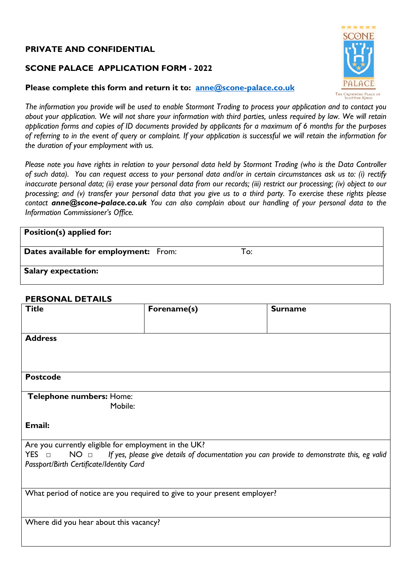## **PRIVATE AND CONFIDENTIAL**

## **SCONE PALACE APPLICATION FORM - 2022**

#### **Please complete this form and return it to: anne@scone-palace.co.uk**

THE CROWNING PLACE OF<br>SCOTTISH KINGS *The information you provide will be used to enable Stormont Trading to process your application and to contact you about your application. We will not share your information with third parties, unless required by law. We will retain application forms and copies of ID documents provided by applicants for a maximum of 6 months for the purposes of referring to in the event of query or complaint. If your application is successful we will retain the information for the duration of your employment with us.*

*Please note you have rights in relation to your personal data held by Stormont Trading (who is the Data Controller of such data). You can request access to your personal data and/or in certain circumstances ask us to: (i) rectify inaccurate personal data; (ii) erase your personal data from our records; (iii) restrict our processing; (iv) object to our processing; and (v) transfer your personal data that you give us to a third party. To exercise these rights please contact anne@scone-palace.co.uk You can also complain about our handling of your personal data to the Information Commissioner's Office.*

# **Position(s) applied for: Dates available for employment:** From: To: **Salary expectation:**

#### **PERSONAL DETAILS**

| <b>Title</b>                                                                                                                  | Forename(s) | <b>Surname</b> |  |  |
|-------------------------------------------------------------------------------------------------------------------------------|-------------|----------------|--|--|
|                                                                                                                               |             |                |  |  |
| <b>Address</b>                                                                                                                |             |                |  |  |
|                                                                                                                               |             |                |  |  |
|                                                                                                                               |             |                |  |  |
| <b>Postcode</b>                                                                                                               |             |                |  |  |
| Telephone numbers: Home:                                                                                                      |             |                |  |  |
| Mobile:                                                                                                                       |             |                |  |  |
| Email:                                                                                                                        |             |                |  |  |
| Are you currently eligible for employment in the UK?                                                                          |             |                |  |  |
| $YES$ $\Box$<br>If yes, please give details of documentation you can provide to demonstrate this, eg valid<br>NO <sub>0</sub> |             |                |  |  |
| Passport/Birth Certificate/Identity Card                                                                                      |             |                |  |  |
|                                                                                                                               |             |                |  |  |
| What period of notice are you required to give to your present employer?                                                      |             |                |  |  |
|                                                                                                                               |             |                |  |  |
| Where did you hear about this vacancy?                                                                                        |             |                |  |  |
|                                                                                                                               |             |                |  |  |
|                                                                                                                               |             |                |  |  |

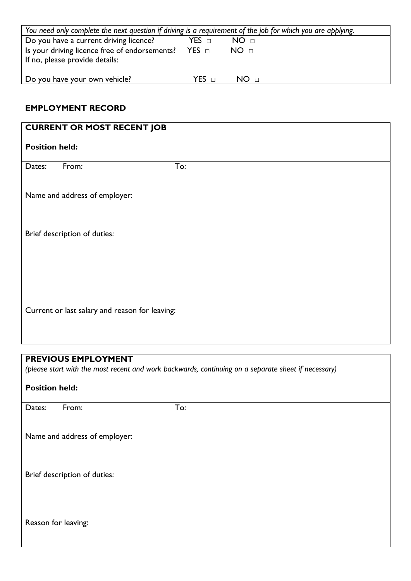| You need only complete the next question if driving is a requirement of the job for which you are applying. |       |                 |
|-------------------------------------------------------------------------------------------------------------|-------|-----------------|
| Do you have a current driving licence?                                                                      | YES ⊡ | NO <sub>□</sub> |
| Is your driving licence free of endorsements? YES $\Box$<br>If no, please provide details:                  |       | NO <sub>π</sub> |
| Do you have your own vehicle?                                                                               | YFS ⊓ | NO <sub>π</sub> |

## **EMPLOYMENT RECORD**

| <b>CURRENT OR MOST RECENT JOB</b>              |  |  |
|------------------------------------------------|--|--|
| <b>Position held:</b>                          |  |  |
| To:<br>From:<br>Dates:                         |  |  |
| Name and address of employer:                  |  |  |
| Brief description of duties:                   |  |  |
|                                                |  |  |
| Current or last salary and reason for leaving: |  |  |

## **PREVIOUS EMPLOYMENT**

*(please start with the most recent and work backwards, continuing on a separate sheet if necessary)*

| <b>Position held:</b> |                               |     |
|-----------------------|-------------------------------|-----|
| Dates:                | From:                         | To: |
|                       | Name and address of employer: |     |
|                       | Brief description of duties:  |     |
| Reason for leaving:   |                               |     |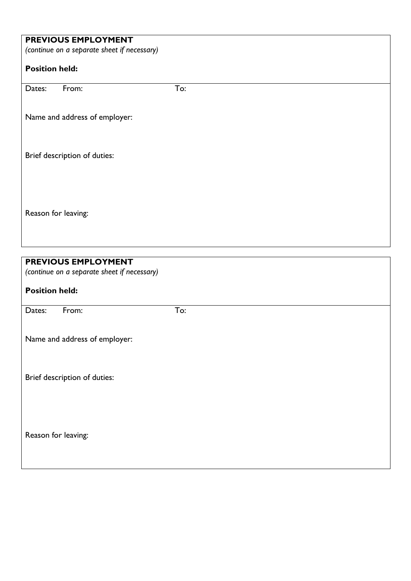|                       | PREVIOUS EMPLOYMENT                         |     |  |  |  |
|-----------------------|---------------------------------------------|-----|--|--|--|
|                       | (continue on a separate sheet if necessary) |     |  |  |  |
| <b>Position held:</b> |                                             |     |  |  |  |
| Dates:                | From:                                       | To: |  |  |  |
|                       | Name and address of employer:               |     |  |  |  |
|                       | Brief description of duties:                |     |  |  |  |
|                       |                                             |     |  |  |  |
| Reason for leaving:   |                                             |     |  |  |  |

| PREVIOUS EMPLOYMENT                         |     |  |
|---------------------------------------------|-----|--|
| (continue on a separate sheet if necessary) |     |  |
|                                             |     |  |
| <b>Position held:</b>                       |     |  |
|                                             |     |  |
| From:<br>Dates:                             | To: |  |
|                                             |     |  |
|                                             |     |  |
| Name and address of employer:               |     |  |
|                                             |     |  |
|                                             |     |  |
| Brief description of duties:                |     |  |
|                                             |     |  |
|                                             |     |  |
|                                             |     |  |
|                                             |     |  |
|                                             |     |  |
| Reason for leaving:                         |     |  |
|                                             |     |  |
|                                             |     |  |
|                                             |     |  |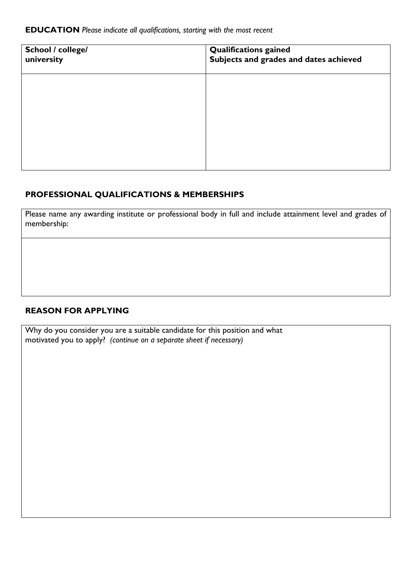| School / college/<br>university | <b>Qualifications gained</b><br>Subjects and grades and dates achieved |
|---------------------------------|------------------------------------------------------------------------|
|                                 |                                                                        |
|                                 |                                                                        |
|                                 |                                                                        |
|                                 |                                                                        |

## **PROFESSIONAL QUALIFICATIONS & MEMBERSHIPS**

Please name any awarding institute or professional body in full and include attainment level and grades of membership:

#### **REASON FOR APPLYING**

Why do you consider you are a suitable candidate for this position and what motivated you to apply? *(continue on a separate sheet if necessary)*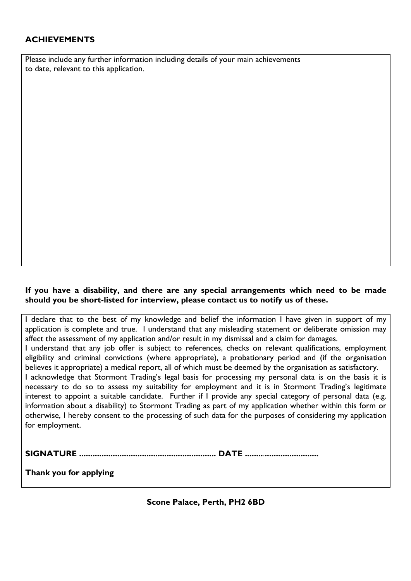## **ACHIEVEMENTS**

Please include any further information including details of your main achievements to date, relevant to this application.

#### **If you have a disability, and there are any special arrangements which need to be made should you be short-listed for interview, please contact us to notify us of these.**

| I declare that to the best of my knowledge and belief the information I have given in support of my         |
|-------------------------------------------------------------------------------------------------------------|
| application is complete and true. I understand that any misleading statement or deliberate omission may     |
| affect the assessment of my application and/or result in my dismissal and a claim for damages.              |
| I understand that any job offer is subject to references, checks on relevant qualifications, employment     |
| eligibility and criminal convictions (where appropriate), a probationary period and (if the organisation    |
| believes it appropriate) a medical report, all of which must be deemed by the organisation as satisfactory. |
| I acknowledge that Stormont Trading's legal basis for processing my personal data is on the basis it is     |
| necessary to do so to assess my suitability for employment and it is in Stormont Trading's legitimate       |
| interest to appoint a suitable candidate. Further if I provide any special category of personal data (e.g.  |
| information about a disability) to Stormont Trading as part of my application whether within this form or   |
| otherwise, I hereby consent to the processing of such data for the purposes of considering my application   |
| for employment.                                                                                             |
|                                                                                                             |

**SIGNATURE ............................................................. DATE ........**.**........................**

**Thank you for applying**

**Scone Palace, Perth, PH2 6BD**